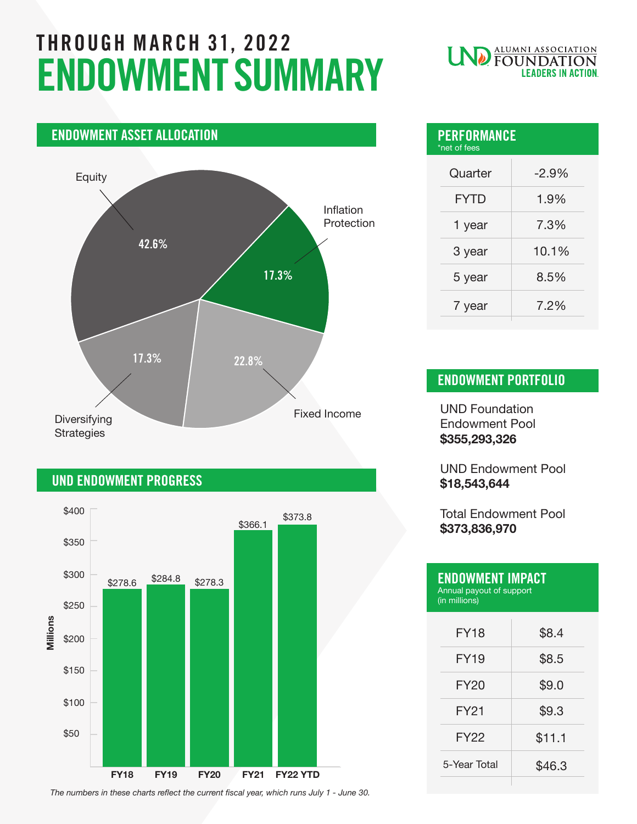# THROUGH MARCH 31, 2022 ENDOWMENT SUMMARY

## ENDOWMENT ASSET ALLOCATION Fixed Income Inflation Protection Equity **Diversifying Strategies** 42.6% 17.3%  $17.3\%$  22.8%

### UND ENDOWMENT PROGRESS



*The numbers in these charts reflect the current fiscal year, which runs July 1 - June 30.*

## **ND** ALUMNI ASSOCIATION **LEADERS IN ACTION**

| <b>PERFORMANCE</b><br>*net of fees |  |
|------------------------------------|--|
| $-2.9%$                            |  |
| 1.9%                               |  |
| 7.3%                               |  |
| 10.1%                              |  |
| 8.5%                               |  |
| 7.2%                               |  |
|                                    |  |

### ENDOWMENT PORTFOLIO

UND Foundation Endowment Pool **\$355,293,326**

UND Endowment Pool **\$18,543,644**

Total Endowment Pool **\$373,836,970**

| <b>ENDOWMENT IMPACT</b><br>Annual payout of support<br>(in millions) |        |
|----------------------------------------------------------------------|--------|
| <b>FY18</b>                                                          | \$8.4  |
| <b>FY19</b>                                                          | \$8.5  |
| <b>FY20</b>                                                          | \$9.0  |
| FY21                                                                 | \$9.3  |
| <b>FY22</b>                                                          | \$11.1 |
| 5-Year Total                                                         | \$46.3 |
|                                                                      |        |